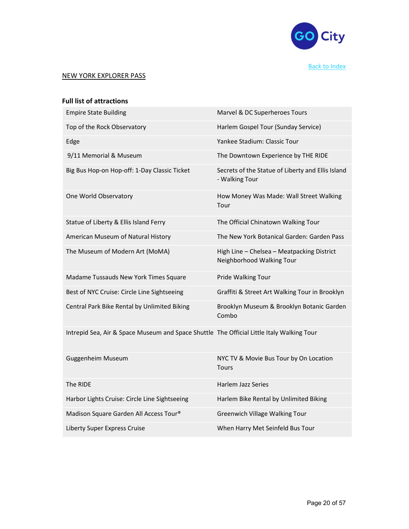

# NEW YORK EXPLORER PASS

| <b>Full list of attractions</b>                                                           |                                                                         |
|-------------------------------------------------------------------------------------------|-------------------------------------------------------------------------|
| <b>Empire State Building</b>                                                              | Marvel & DC Superheroes Tours                                           |
| Top of the Rock Observatory                                                               | Harlem Gospel Tour (Sunday Service)                                     |
| Edge                                                                                      | Yankee Stadium: Classic Tour                                            |
| 9/11 Memorial & Museum                                                                    | The Downtown Experience by THE RIDE                                     |
| Big Bus Hop-on Hop-off: 1-Day Classic Ticket                                              | Secrets of the Statue of Liberty and Ellis Island<br>- Walking Tour     |
| One World Observatory                                                                     | How Money Was Made: Wall Street Walking<br>Tour                         |
| Statue of Liberty & Ellis Island Ferry                                                    | The Official Chinatown Walking Tour                                     |
| American Museum of Natural History                                                        | The New York Botanical Garden: Garden Pass                              |
| The Museum of Modern Art (MoMA)                                                           | High Line - Chelsea - Meatpacking District<br>Neighborhood Walking Tour |
| Madame Tussauds New York Times Square                                                     | Pride Walking Tour                                                      |
| Best of NYC Cruise: Circle Line Sightseeing                                               | Graffiti & Street Art Walking Tour in Brooklyn                          |
| Central Park Bike Rental by Unlimited Biking                                              |                                                                         |
|                                                                                           | Brooklyn Museum & Brooklyn Botanic Garden<br>Combo                      |
| Intrepid Sea, Air & Space Museum and Space Shuttle The Official Little Italy Walking Tour |                                                                         |
| Guggenheim Museum                                                                         | NYC TV & Movie Bus Tour by On Location<br>Tours                         |
| The RIDE                                                                                  | Harlem Jazz Series                                                      |
| Harbor Lights Cruise: Circle Line Sightseeing                                             | Harlem Bike Rental by Unlimited Biking                                  |
| Madison Square Garden All Access Tour®                                                    | <b>Greenwich Village Walking Tour</b>                                   |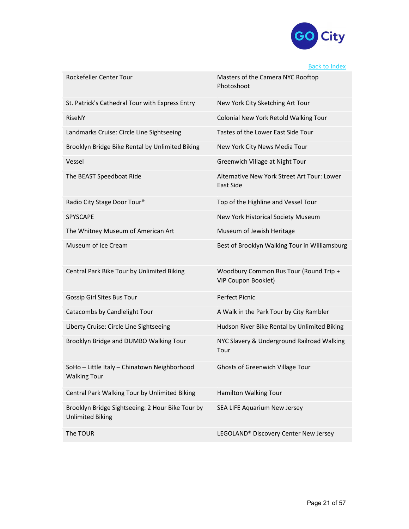

# Back to Index

| Rockefeller Center Tour                                                     | Masters of the Camera NYC Rooftop<br>Photoshoot                      |
|-----------------------------------------------------------------------------|----------------------------------------------------------------------|
| St. Patrick's Cathedral Tour with Express Entry                             | New York City Sketching Art Tour                                     |
| RiseNY                                                                      | Colonial New York Retold Walking Tour                                |
| Landmarks Cruise: Circle Line Sightseeing                                   | Tastes of the Lower East Side Tour                                   |
| Brooklyn Bridge Bike Rental by Unlimited Biking                             | New York City News Media Tour                                        |
| Vessel                                                                      | Greenwich Village at Night Tour                                      |
| The BEAST Speedboat Ride                                                    | Alternative New York Street Art Tour: Lower<br>East Side             |
| Radio City Stage Door Tour®                                                 | Top of the Highline and Vessel Tour                                  |
| SPYSCAPE                                                                    | New York Historical Society Museum                                   |
| The Whitney Museum of American Art                                          | Museum of Jewish Heritage                                            |
| Museum of Ice Cream                                                         | Best of Brooklyn Walking Tour in Williamsburg                        |
| Central Park Bike Tour by Unlimited Biking                                  | Woodbury Common Bus Tour (Round Trip +<br><b>VIP Coupon Booklet)</b> |
| Gossip Girl Sites Bus Tour                                                  | <b>Perfect Picnic</b>                                                |
| Catacombs by Candlelight Tour                                               | A Walk in the Park Tour by City Rambler                              |
| Liberty Cruise: Circle Line Sightseeing                                     | Hudson River Bike Rental by Unlimited Biking                         |
| Brooklyn Bridge and DUMBO Walking Tour                                      | NYC Slavery & Underground Railroad Walking<br>Tour                   |
| SoHo - Little Italy - Chinatown Neighborhood<br><b>Walking Tour</b>         | <b>Ghosts of Greenwich Village Tour</b>                              |
| Central Park Walking Tour by Unlimited Biking                               | Hamilton Walking Tour                                                |
| Brooklyn Bridge Sightseeing: 2 Hour Bike Tour by<br><b>Unlimited Biking</b> | SEA LIFE Aquarium New Jersey                                         |
| The TOUR                                                                    | LEGOLAND® Discovery Center New Jersey                                |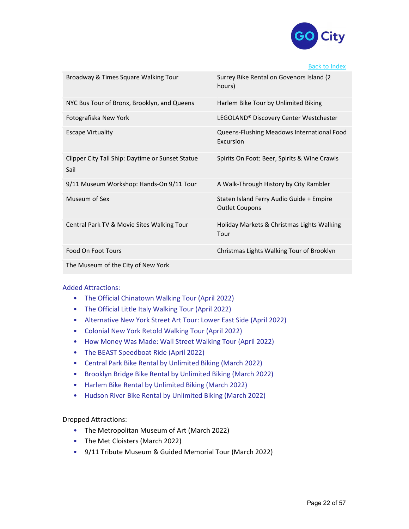

#### Back to Index

| Broadway & Times Square Walking Tour                     | Surrey Bike Rental on Govenors Island (2<br>hours)                |
|----------------------------------------------------------|-------------------------------------------------------------------|
| NYC Bus Tour of Bronx, Brooklyn, and Queens              | Harlem Bike Tour by Unlimited Biking                              |
| Fotografiska New York                                    | LEGOLAND® Discovery Center Westchester                            |
| <b>Escape Virtuality</b>                                 | Queens-Flushing Meadows International Food<br>Excursion           |
| Clipper City Tall Ship: Daytime or Sunset Statue<br>Sail | Spirits On Foot: Beer, Spirits & Wine Crawls                      |
| 9/11 Museum Workshop: Hands-On 9/11 Tour                 | A Walk-Through History by City Rambler                            |
| Museum of Sex                                            | Staten Island Ferry Audio Guide + Empire<br><b>Outlet Coupons</b> |
| Central Park TV & Movie Sites Walking Tour               | Holiday Markets & Christmas Lights Walking<br>Tour                |
| Food On Foot Tours                                       | Christmas Lights Walking Tour of Brooklyn                         |
| The Museum of the City of New York                       |                                                                   |

### Added Attractions:

- The Official Chinatown Walking Tour (April 2022)
- The Official Little Italy Walking Tour (April 2022)
- Alternative New York Street Art Tour: Lower East Side (April 2022)
- Colonial New York Retold Walking Tour (April 2022)
- How Money Was Made: Wall Street Walking Tour (April 2022)
- The BEAST Speedboat Ride (April 2022)
- Central Park Bike Rental by Unlimited Biking (March 2022)
- Brooklyn Bridge Bike Rental by Unlimited Biking (March 2022)
- Harlem Bike Rental by Unlimited Biking (March 2022)
- Hudson River Bike Rental by Unlimited Biking (March 2022)

### Dropped Attractions:

- The Metropolitan Museum of Art (March 2022)
- The Met Cloisters (March 2022)
- 9/11 Tribute Museum & Guided Memorial Tour (March 2022)